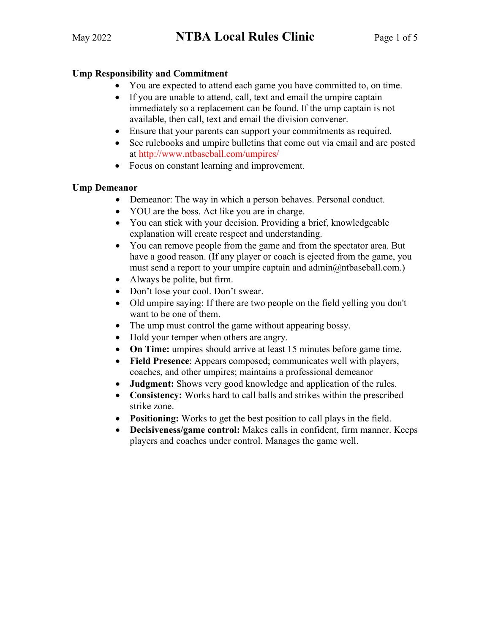## **Ump Responsibility and Commitment**

- You are expected to attend each game you have committed to, on time.
- If you are unable to attend, call, text and email the umpire captain immediately so a replacement can be found. If the ump captain is not available, then call, text and email the division convener.
- Ensure that your parents can support your commitments as required.
- See rulebooks and umpire bulletins that come out via email and are posted at http://www.ntbaseball.com/umpires/
- Focus on constant learning and improvement.

### **Ump Demeanor**

- Demeanor: The way in which a person behaves. Personal conduct.
- YOU are the boss. Act like you are in charge.
- You can stick with your decision. Providing a brief, knowledgeable explanation will create respect and understanding.
- You can remove people from the game and from the spectator area. But have a good reason. (If any player or coach is ejected from the game, you must send a report to your umpire captain and admin@ntbaseball.com.)
- Always be polite, but firm.
- Don't lose your cool. Don't swear.
- Old umpire saying: If there are two people on the field yelling you don't want to be one of them.
- The ump must control the game without appearing bossy.
- Hold your temper when others are angry.
- **On Time:** umpires should arrive at least 15 minutes before game time.
- **Field Presence**: Appears composed; communicates well with players, coaches, and other umpires; maintains a professional demeanor
- **Judgment:** Shows very good knowledge and application of the rules.
- **Consistency:** Works hard to call balls and strikes within the prescribed strike zone.
- **Positioning:** Works to get the best position to call plays in the field.
- **Decisiveness/game control:** Makes calls in confident, firm manner. Keeps players and coaches under control. Manages the game well.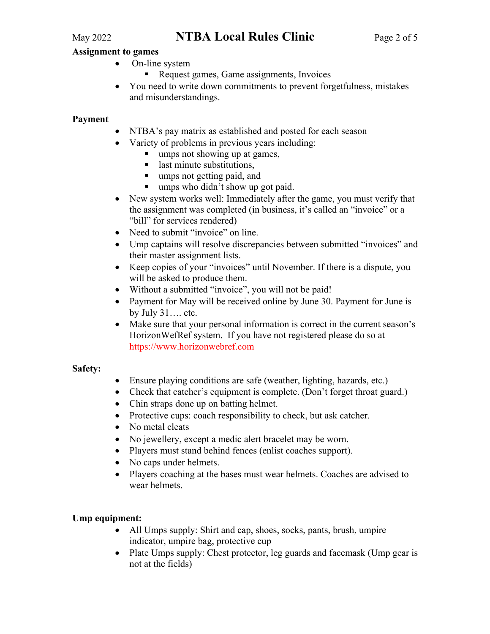# May 2022 **NTBA Local Rules Clinic** Page 2 of 5

#### **Assignment to games**

- On-line system
	- Request games, Game assignments, Invoices
- You need to write down commitments to prevent forgetfulness, mistakes and misunderstandings.

#### **Payment**

- NTBA's pay matrix as established and posted for each season
- Variety of problems in previous years including:
	- umps not showing up at games,
	- last minute substitutions,
	- umps not getting paid, and
	- umps who didn't show up got paid.
- New system works well: Immediately after the game, you must verify that the assignment was completed (in business, it's called an "invoice" or a "bill" for services rendered)
- Need to submit "invoice" on line.
- Ump captains will resolve discrepancies between submitted "invoices" and their master assignment lists.
- Keep copies of your "invoices" until November. If there is a dispute, you will be asked to produce them.
- Without a submitted "invoice", you will not be paid!
- Payment for May will be received online by June 30. Payment for June is by July 31…. etc.
- Make sure that your personal information is correct in the current season's HorizonWefRef system. If you have not registered please do so at https://www.horizonwebref.com

#### **Safety:**

- Ensure playing conditions are safe (weather, lighting, hazards, etc.)
- Check that catcher's equipment is complete. (Don't forget throat guard.)
- Chin straps done up on batting helmet.
- Protective cups: coach responsibility to check, but ask catcher.
- No metal cleats
- No jewellery, except a medic alert bracelet may be worn.
- Players must stand behind fences (enlist coaches support).
- No caps under helmets.
- Players coaching at the bases must wear helmets. Coaches are advised to wear helmets.

### **Ump equipment:**

- All Umps supply: Shirt and cap, shoes, socks, pants, brush, umpire indicator, umpire bag, protective cup
- Plate Umps supply: Chest protector, leg guards and facemask (Ump gear is not at the fields)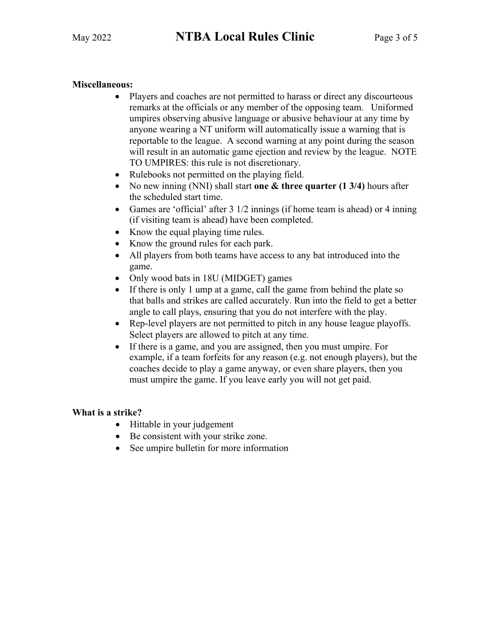### **Miscellaneous:**

- Players and coaches are not permitted to harass or direct any discourteous remarks at the officials or any member of the opposing team. Uniformed umpires observing abusive language or abusive behaviour at any time by anyone wearing a NT uniform will automatically issue a warning that is reportable to the league. A second warning at any point during the season will result in an automatic game ejection and review by the league. NOTE TO UMPIRES: this rule is not discretionary.
- Rulebooks not permitted on the playing field.
- No new inning (NNI) shall start **one & three quarter (1 3/4)** hours after the scheduled start time.
- Games are 'official' after 3 1/2 innings (if home team is ahead) or 4 inning (if visiting team is ahead) have been completed.
- Know the equal playing time rules.
- Know the ground rules for each park.
- All players from both teams have access to any bat introduced into the game.
- Only wood bats in 18U (MIDGET) games
- If there is only 1 ump at a game, call the game from behind the plate so that balls and strikes are called accurately. Run into the field to get a better angle to call plays, ensuring that you do not interfere with the play.
- Rep-level players are not permitted to pitch in any house league playoffs. Select players are allowed to pitch at any time.
- If there is a game, and you are assigned, then you must umpire. For example, if a team forfeits for any reason (e.g. not enough players), but the coaches decide to play a game anyway, or even share players, then you must umpire the game. If you leave early you will not get paid.

#### **What is a strike?**

- Hittable in your judgement
- Be consistent with your strike zone.
- See umpire bulletin for more information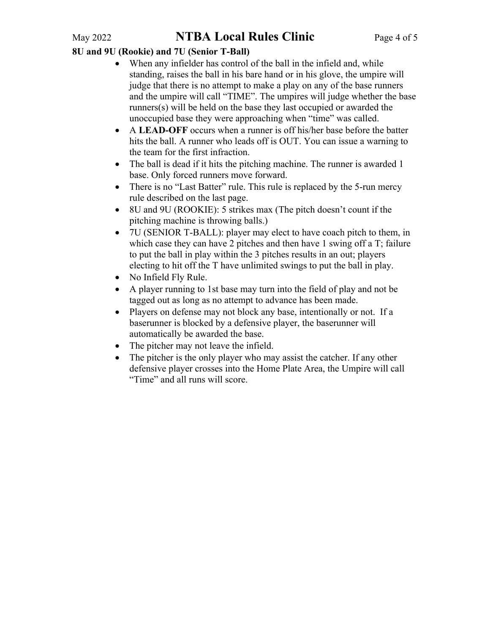# May 2022 **NTBA Local Rules Clinic** Page 4 of 5

## **8U and 9U (Rookie) and 7U (Senior T-Ball)**

- When any infielder has control of the ball in the infield and, while standing, raises the ball in his bare hand or in his glove, the umpire will judge that there is no attempt to make a play on any of the base runners and the umpire will call "TIME". The umpires will judge whether the base runners(s) will be held on the base they last occupied or awarded the unoccupied base they were approaching when "time" was called.
- A **LEAD-OFF** occurs when a runner is off his/her base before the batter hits the ball. A runner who leads off is OUT. You can issue a warning to the team for the first infraction.
- The ball is dead if it hits the pitching machine. The runner is awarded 1 base. Only forced runners move forward.
- There is no "Last Batter" rule. This rule is replaced by the 5-run mercy rule described on the last page.
- 8U and 9U (ROOKIE): 5 strikes max (The pitch doesn't count if the pitching machine is throwing balls.)
- 7U (SENIOR T-BALL): player may elect to have coach pitch to them, in which case they can have 2 pitches and then have 1 swing off a T; failure to put the ball in play within the 3 pitches results in an out; players electing to hit off the T have unlimited swings to put the ball in play.
- No Infield Fly Rule.
- A player running to 1st base may turn into the field of play and not be tagged out as long as no attempt to advance has been made.
- Players on defense may not block any base, intentionally or not. If a baserunner is blocked by a defensive player, the baserunner will automatically be awarded the base.
- The pitcher may not leave the infield.
- The pitcher is the only player who may assist the catcher. If any other defensive player crosses into the Home Plate Area, the Umpire will call "Time" and all runs will score.